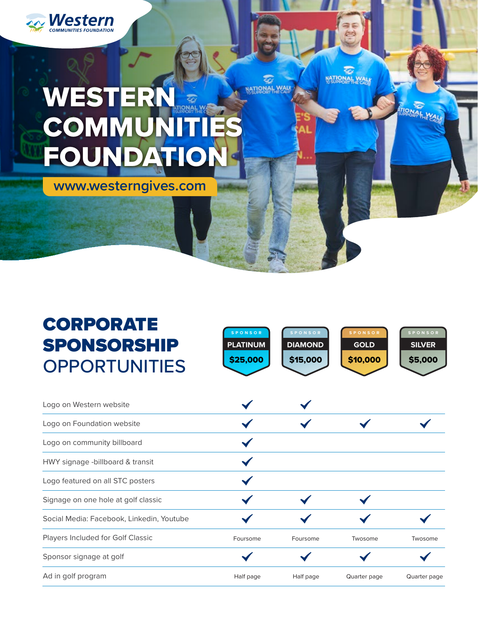

# WESTERN COMMUN FOUNDA

**www.westerngives.com**

## CORPORATE **SPONSOR** SPONSORSHIP **OPPORTUNITIES**

Logo on Western website

Logo on Foundation website

Logo on community billboard

HWY signage -billboard & transit

Logo featured on all STC posters

Signage on one hole at golf classic

Sponsor signage at golf



MATIONAL

**ATIONAL MAL** 

**NATIONAL WALK** 

Ad in golf program and the state of the Half page Half page and Guarter page quarter page quarter page quarter page